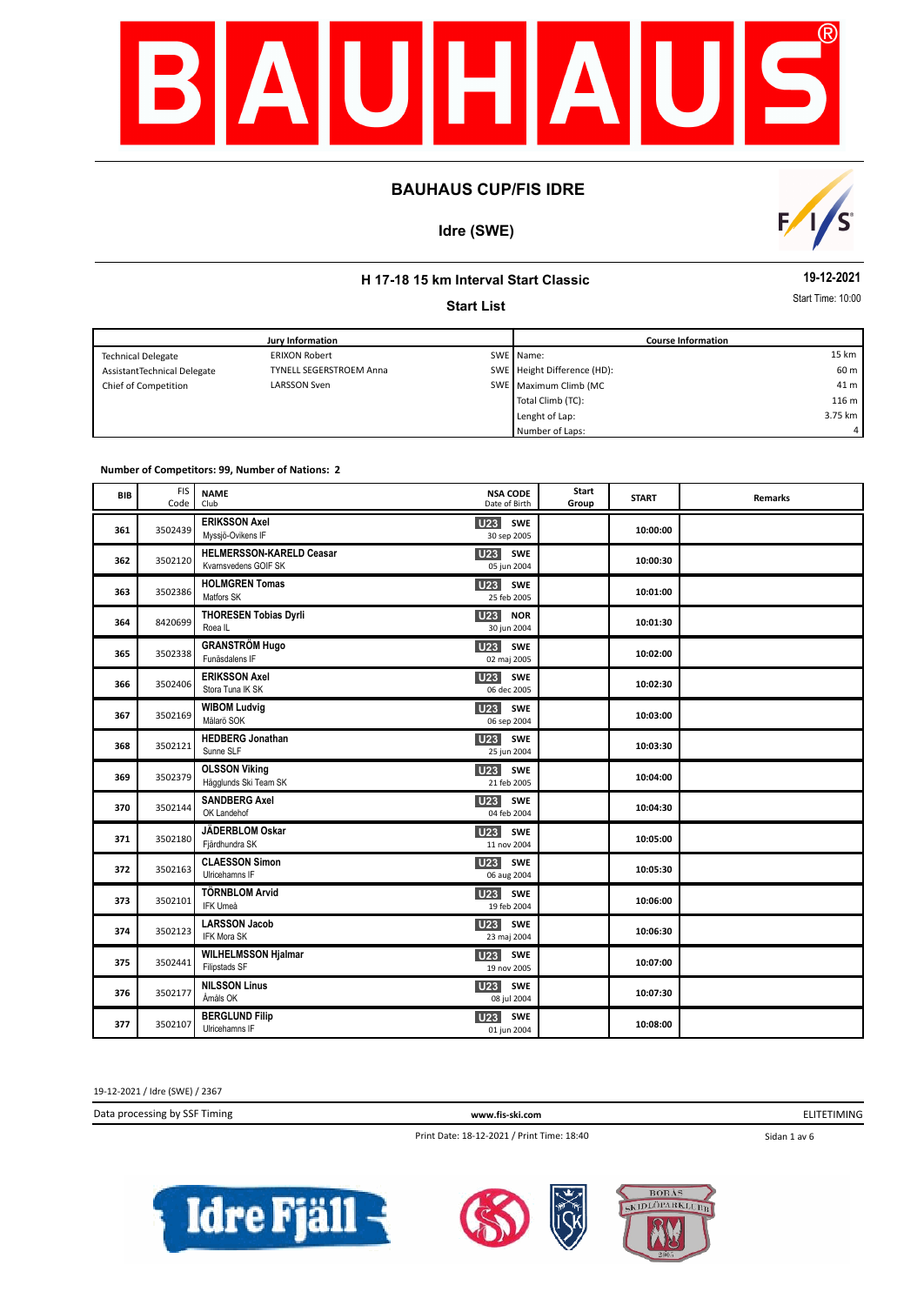

# **Idre (SWE)**



# **H 17-18 15 km Interval Start Classic**

#### **Start List**

**19-12-2021**

Start Time: 10:00

|                             | <b>Jury Information</b>        | <b>Course Information</b>   |         |
|-----------------------------|--------------------------------|-----------------------------|---------|
| <b>Technical Delegate</b>   | <b>ERIXON Robert</b>           | SWE Name:                   | 15 km   |
| AssistantTechnical Delegate | <b>TYNELL SEGERSTROEM Anna</b> | SWE Height Difference (HD): | 60 m    |
| Chief of Competition        | <b>LARSSON Sven</b>            | SWE Maximum Climb (MC       | 41 m    |
|                             |                                | Total Climb (TC):           | 116 m   |
|                             |                                | Lenght of Lap:              | 3.75 km |
|                             |                                | Number of Laps:             | 4       |

#### **Number of Competitors: 99, Number of Nations: 2**

| <b>BIB</b> | <b>FIS</b><br>Code | <b>NAME</b><br>Club                                     | <b>NSA CODE</b><br>Date of Birth      | Start<br>Group | <b>START</b> | <b>Remarks</b> |
|------------|--------------------|---------------------------------------------------------|---------------------------------------|----------------|--------------|----------------|
| 361        | 3502439            | <b>ERIKSSON Axel</b><br>Myssjö-Ovikens IF               | SWE<br>U23<br>30 sep 2005             |                | 10:00:00     |                |
| 362        | 3502120            | <b>HELMERSSON-KARELD Ceasar</b><br>Kvarnsvedens GOIF SK | U23<br>SWE<br>05 jun 2004             |                | 10:00:30     |                |
| 363        | 3502386            | <b>HOLMGREN Tomas</b><br>Matfors SK                     | U <sub>23</sub> SWE<br>25 feb 2005    |                | 10:01:00     |                |
| 364        | 8420699            | <b>THORESEN Tobias Dyrli</b><br>Roea <sub>IL</sub>      | <b>U23 NOR</b><br>30 jun 2004         |                | 10:01:30     |                |
| 365        | 3502338            | <b>GRANSTRÖM Hugo</b><br>Funäsdalens IF                 | <b>U23</b><br>SWE<br>02 maj 2005      |                | 10:02:00     |                |
| 366        | 3502406            | <b>ERIKSSON Axel</b><br>Stora Tuna IK SK                | <b>U23</b> SWE<br>06 dec 2005         |                | 10:02:30     |                |
| 367        | 3502169            | <b>WIBOM Ludvig</b><br>Mälarö SOK                       | <b>U23</b><br>SWE<br>06 sep 2004      |                | 10:03:00     |                |
| 368        | 3502121            | <b>HEDBERG Jonathan</b><br>Sunne SLF                    | <b>U23</b><br>SWE<br>25 jun 2004      |                | 10:03:30     |                |
| 369        | 3502379            | <b>OLSSON Viking</b><br>Hägglunds Ski Team SK           | <b>U23</b><br>SWE<br>21 feb 2005      |                | 10:04:00     |                |
| 370        | 3502144            | <b>SANDBERG Axel</b><br>OK Landehof                     | U <sub>23</sub><br>SWE<br>04 feb 2004 |                | 10:04:30     |                |
| 371        | 3502180            | JÄDERBLOM Oskar<br>Fjärdhundra SK                       | U23<br>SWE<br>11 nov 2004             |                | 10:05:00     |                |
| 372        | 3502163            | <b>CLAESSON Simon</b><br>Ulricehamns IF                 | U <sub>23</sub><br>SWE<br>06 aug 2004 |                | 10:05:30     |                |
| 373        | 3502101            | <b>TÖRNBLOM Arvid</b><br>IFK Umeå                       | <b>U23</b><br>SWE<br>19 feb 2004      |                | 10:06:00     |                |
| 374        | 3502123            | <b>LARSSON Jacob</b><br>IFK Mora SK                     | <b>U23</b><br>SWE<br>23 maj 2004      |                | 10:06:30     |                |
| 375        | 3502441            | <b>WILHELMSSON Hjalmar</b><br>Filipstads SF             | <b>U23</b> SWE<br>19 nov 2005         |                | 10:07:00     |                |
| 376        | 3502177            | <b>NILSSON Linus</b><br>Åmåls OK                        | U23<br>SWE<br>08 jul 2004             |                | 10:07:30     |                |
| 377        | 3502107            | <b>BERGLUND Filip</b><br>Ulricehamns IF                 | SWE<br><b>U23</b><br>01 jun 2004      |                | 10:08:00     |                |

19-12-2021 / Idre (SWE) / 2367

Data processing by SSF Timing **www.fis-ski.com**

ELITETIMING

Print Date: 18-12-2021 / Print Time: 18:40

Sidan 1 av 6





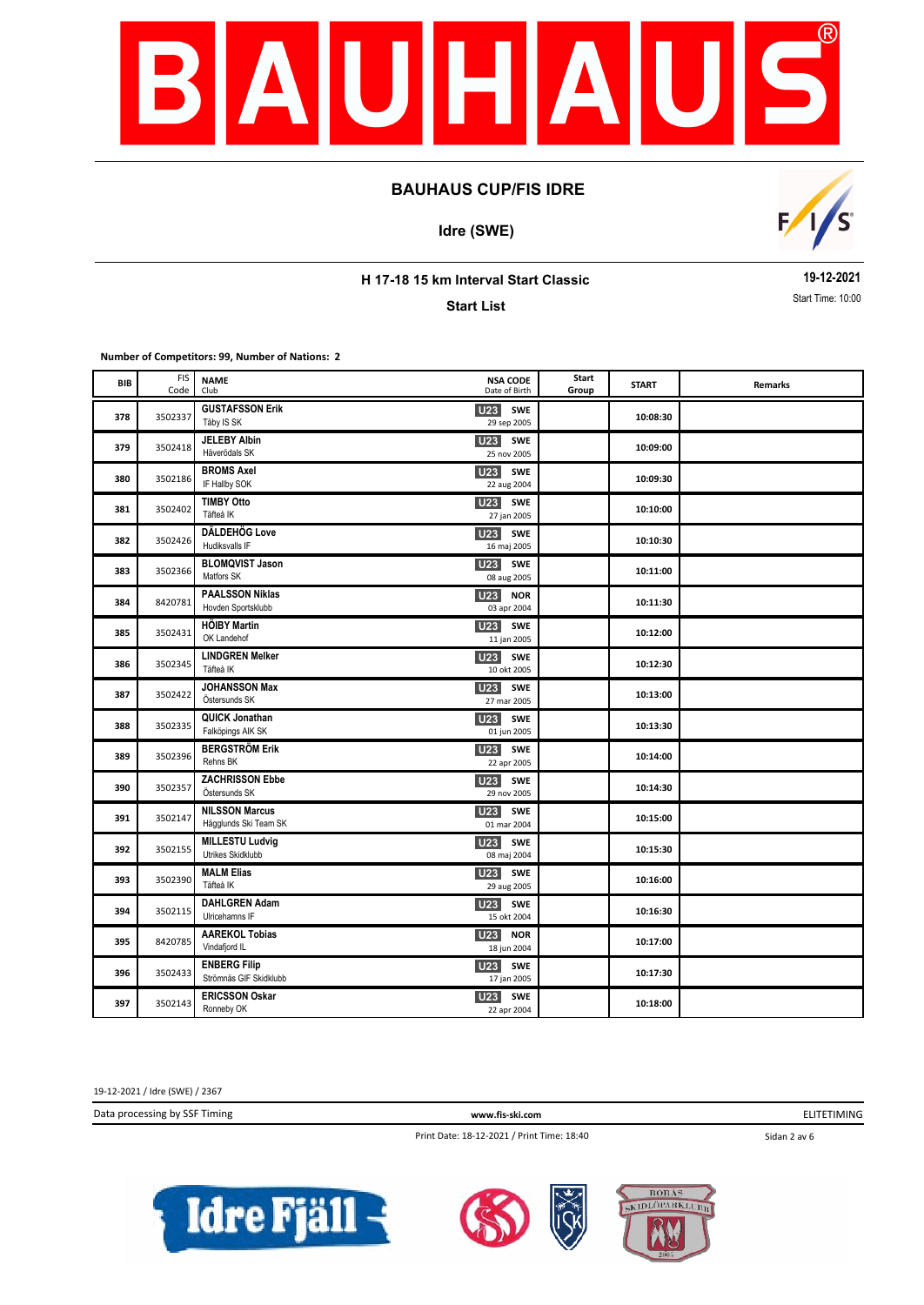

**Idre (SWE)**



**H 17-18 15 km Interval Start Classic**

**Start List**

**19-12-2021** Start Time: 10:00

**Number of Competitors: 99, Number of Nations: 2**

| BIB | <b>FIS</b><br>Code | <b>NAME</b><br>Club                            | <b>NSA CODE</b><br>Date of Birth        | Start<br>Group | <b>START</b> | Remarks |
|-----|--------------------|------------------------------------------------|-----------------------------------------|----------------|--------------|---------|
| 378 | 3502337            | <b>GUSTAFSSON Erik</b><br>Täby IS SK           | <b>U23 SWE</b><br>29 sep 2005           |                | 10:08:30     |         |
| 379 | 3502418            | <b>JELEBY Albin</b><br>Häverödals SK           | <b>U23</b> SWE<br>25 nov 2005           |                | 10:09:00     |         |
| 380 | 3502186            | <b>BROMS Axel</b><br>IF Hallby SOK             | U23 SWE<br>22 aug 2004                  |                | 10:09:30     |         |
| 381 | 3502402            | <b>TIMBY Otto</b><br>Täfteå IK                 | <b>U23</b> SWE<br>27 jan 2005           |                | 10:10:00     |         |
| 382 | 3502426            | DÄLDEHÖG Love<br>Hudiksvalls IF                | <b>U23</b><br>SWE<br>16 maj 2005        |                | 10:10:30     |         |
| 383 | 3502366            | <b>BLOMQVIST Jason</b><br>Matfors SK           | <b>U23</b><br>SWE<br>08 aug 2005        |                | 10:11:00     |         |
| 384 | 8420781            | <b>PAALSSON Niklas</b><br>Hovden Sportsklubb   | <b>U23</b><br><b>NOR</b><br>03 apr 2004 |                | 10:11:30     |         |
| 385 | 3502431            | <b>HÖIBY Martin</b><br>OK Landehof             | <b>U23</b> SWE<br>11 jan 2005           |                | 10:12:00     |         |
| 386 | 3502345            | <b>LINDGREN Melker</b><br>Täfteå IK            | <b>U23</b><br>SWE<br>10 okt 2005        |                | 10:12:30     |         |
| 387 | 3502422            | <b>JOHANSSON Max</b><br>Östersunds SK          | U23 SWE<br>27 mar 2005                  |                | 10:13:00     |         |
| 388 | 3502335            | QUICK Jonathan<br>Falköpings AIK SK            | U23<br>SWE<br>01 jun 2005               |                | 10:13:30     |         |
| 389 | 3502396            | <b>BERGSTRÖM Erik</b><br>Rehns BK              | U23 SWE<br>22 apr 2005                  |                | 10:14:00     |         |
| 390 | 3502357            | <b>ZACHRISSON Ebbe</b><br>Östersunds SK        | U <sub>23</sub><br>SWE<br>29 nov 2005   |                | 10:14:30     |         |
| 391 | 3502147            | <b>NILSSON Marcus</b><br>Hägglunds Ski Team SK | U <sub>23</sub><br>SWE<br>01 mar 2004   |                | 10:15:00     |         |
| 392 | 3502155            | <b>MILLESTU Ludvig</b><br>Utrikes Skidklubb    | U23<br>SWE<br>08 maj 2004               |                | 10:15:30     |         |
| 393 | 3502390            | <b>MALM Elias</b><br>Täfteå IK                 | U23<br>SWE<br>29 aug 2005               |                | 10:16:00     |         |
| 394 | 3502115            | <b>DAHLGREN Adam</b><br>Ulricehamns IF         | <b>U23 SWE</b><br>15 okt 2004           |                | 10:16:30     |         |
| 395 | 8420785            | <b>AAREKOL Tobias</b><br>Vindafjord IL         | <b>U23</b><br><b>NOR</b><br>18 jun 2004 |                | 10:17:00     |         |
| 396 | 3502433            | <b>ENBERG Filip</b><br>Strömnäs GIF Skidklubb  | <b>U23</b> SWE<br>17 jan 2005           |                | 10:17:30     |         |
| 397 | 3502143            | <b>ERICSSON Oskar</b><br>Ronneby OK            | U23<br>SWE<br>22 apr 2004               |                | 10:18:00     |         |

19-12-2021 / Idre (SWE) / 2367

Data processing by SSF Timing **www.fis-ski.com**

ELITETIMING

Print Date: 18-12-2021 / Print Time: 18:40

Sidan 2 av 6





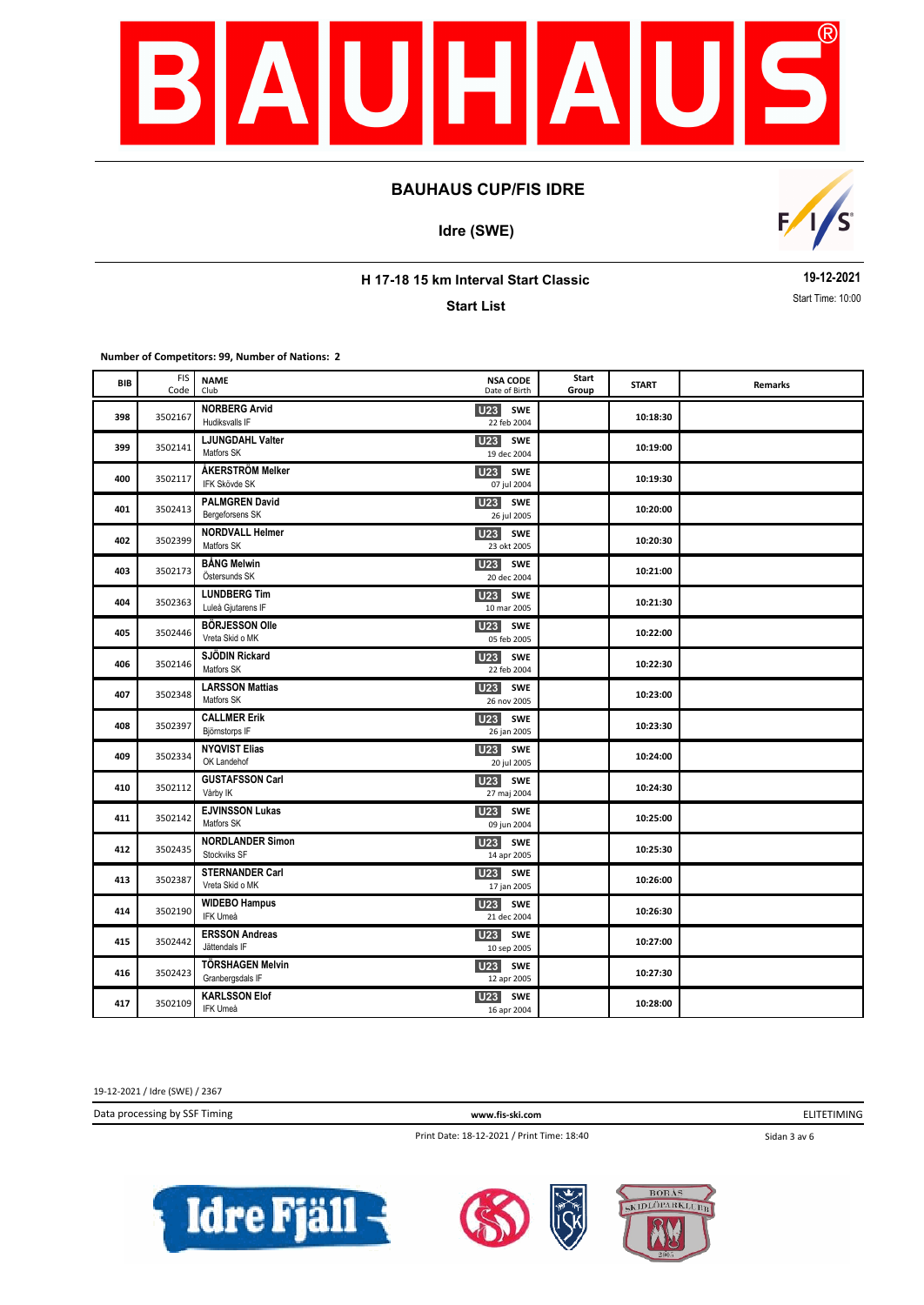

**Idre (SWE)**



**H 17-18 15 km Interval Start Classic**

**Start List**

**19-12-2021** Start Time: 10:00

**Number of Competitors: 99, Number of Nations: 2**

| BIB | <b>FIS</b><br>Code | <b>NAME</b><br>Club                         | <b>NSA CODE</b><br>Date of Birth             | Start<br>Group | <b>START</b> | Remarks |
|-----|--------------------|---------------------------------------------|----------------------------------------------|----------------|--------------|---------|
| 398 | 3502167            | <b>NORBERG Arvid</b><br>Hudiksvalls IF      | U23 SWE<br>22 feb 2004                       |                | 10:18:30     |         |
| 399 | 3502141            | LJUNGDAHL Valter<br>Matfors SK              | <b>U23</b> SWE<br>19 dec 2004                |                | 10:19:00     |         |
| 400 | 3502117            | ÅKERSTRÖM Melker<br>IFK Skövde SK           | U23 SWE<br>07 jul 2004                       |                | 10:19:30     |         |
| 401 | 3502413            | <b>PALMGREN David</b><br>Bergeforsens SK    | U <sub>23</sub><br><b>SWE</b><br>26 jul 2005 |                | 10:20:00     |         |
| 402 | 3502399            | <b>NORDVALL Helmer</b><br>Matfors SK        | <b>U23</b><br>SWE<br>23 okt 2005             |                | 10:20:30     |         |
| 403 | 3502173            | <b>BÅNG Melwin</b><br>Östersunds SK         | <b>U23</b><br>SWE<br>20 dec 2004             |                | 10:21:00     |         |
| 404 | 3502363            | <b>LUNDBERG Tim</b><br>Luleå Gjutarens IF   | <b>U23</b><br>SWE<br>10 mar 2005             |                | 10:21:30     |         |
| 405 | 3502446            | <b>BÖRJESSON Olle</b><br>Vreta Skid o MK    | <b>U23</b> SWE<br>05 feb 2005                |                | 10:22:00     |         |
| 406 | 3502146            | SJÖDIN Rickard<br>Matfors SK                | U23<br>SWE<br>22 feb 2004                    |                | 10:22:30     |         |
| 407 | 3502348            | <b>LARSSON Mattias</b><br>Matfors SK        | U23 SWE<br>26 nov 2005                       |                | 10:23:00     |         |
| 408 | 3502397            | <b>CALLMER Erik</b><br>Björnstorps IF       | U23 SWE<br>26 jan 2005                       |                | 10:23:30     |         |
| 409 | 3502334            | <b>NYQVIST Elias</b><br>OK Landehof         | <b>U23</b> SWE<br>20 jul 2005                |                | 10:24:00     |         |
| 410 | 3502112            | <b>GUSTAFSSON Carl</b><br>Vårby IK          | U <sub>23</sub><br><b>SWE</b><br>27 maj 2004 |                | 10:24:30     |         |
| 411 | 3502142            | <b>EJVINSSON Lukas</b><br>Matfors SK        | <b>U23</b><br>SWE<br>09 jun 2004             |                | 10:25:00     |         |
| 412 | 3502435            | <b>NORDLANDER Simon</b><br>Stockviks SF     | U23<br>SWE<br>14 apr 2005                    |                | 10:25:30     |         |
| 413 | 3502387            | <b>STERNANDER Carl</b><br>Vreta Skid o MK   | <b>U23</b><br><b>SWE</b><br>17 jan 2005      |                | 10:26:00     |         |
| 414 | 3502190            | <b>WIDEBO Hampus</b><br>IFK Umeå            | <b>U23</b> SWE<br>21 dec 2004                |                | 10:26:30     |         |
| 415 | 3502442            | <b>ERSSON Andreas</b><br>Jättendals IF      | U23 SWE<br>10 sep 2005                       |                | 10:27:00     |         |
| 416 | 3502423            | <b>TÖRSHAGEN Melvin</b><br>Granbergsdals IF | U23 SWE<br>12 apr 2005                       |                | 10:27:30     |         |
| 417 | 3502109            | <b>KARLSSON Elof</b><br>IFK Umeå            | <b>U23</b><br>SWE<br>16 apr 2004             |                | 10:28:00     |         |

19-12-2021 / Idre (SWE) / 2367

Data processing by SSF Timing **www.fis-ski.com**

ELITETIMING

Print Date: 18-12-2021 / Print Time: 18:40

Sidan 3 av 6





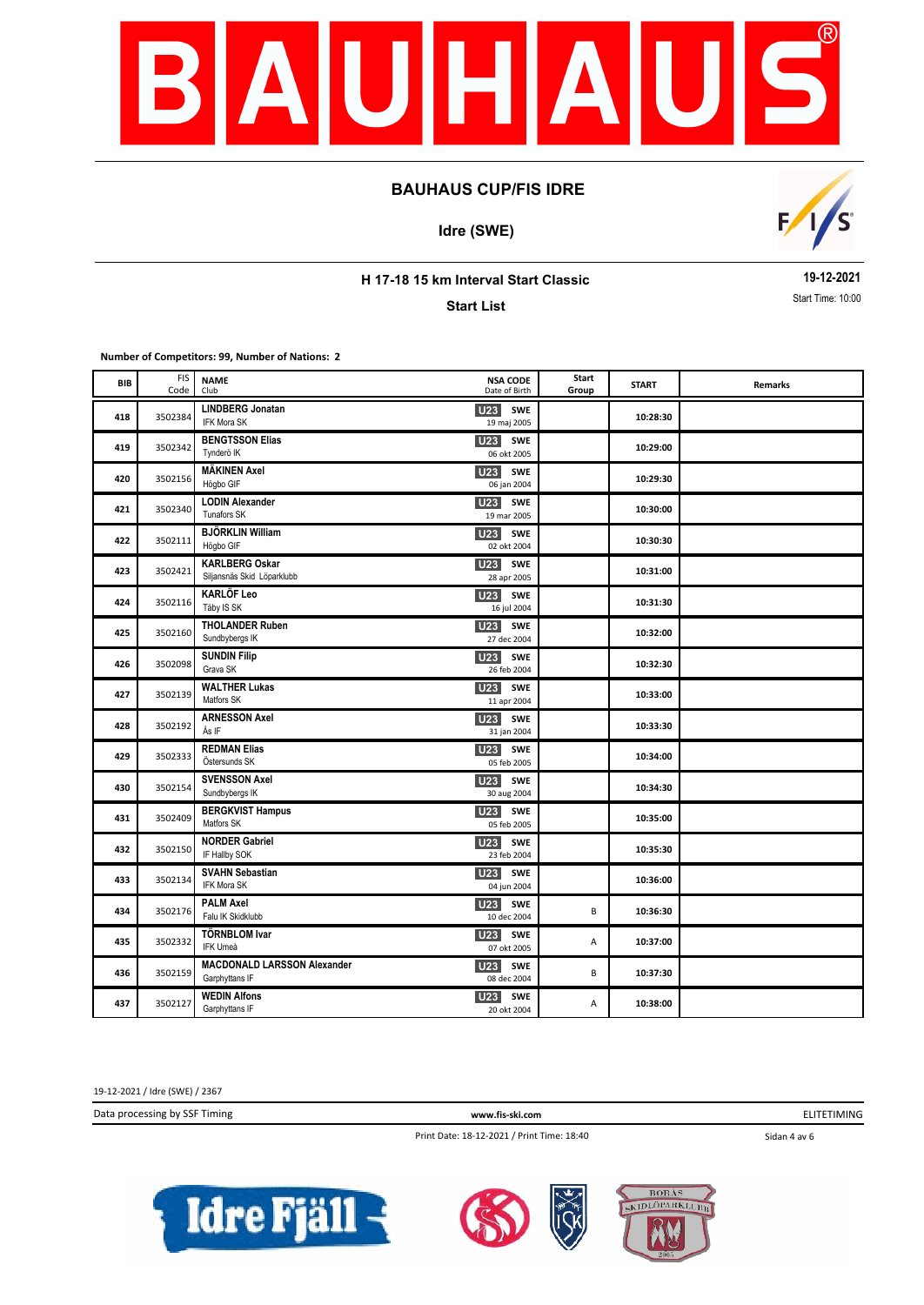

**Idre (SWE)**



**H 17-18 15 km Interval Start Classic**

**Start List**

**19-12-2021** Start Time: 10:00

**Number of Competitors: 99, Number of Nations: 2**

| BIB | <b>FIS</b><br>Code | <b>NAME</b><br>Club                                  | <b>NSA CODE</b><br>Date of Birth             | Start<br>Group | <b>START</b> | Remarks |
|-----|--------------------|------------------------------------------------------|----------------------------------------------|----------------|--------------|---------|
| 418 | 3502384            | <b>LINDBERG Jonatan</b><br>IFK Mora SK               | U <sub>23</sub><br>SWE<br>19 maj 2005        |                | 10:28:30     |         |
| 419 | 3502342            | <b>BENGTSSON Elias</b><br>Tynderö IK                 | <b>U23</b><br>SWE<br>06 okt 2005             |                | 10:29:00     |         |
| 420 | 3502156            | <b>MÄKINEN Axel</b><br>Högbo GIF                     | <b>U23</b> SWE<br>06 jan 2004                |                | 10:29:30     |         |
| 421 | 3502340            | <b>LODIN Alexander</b><br>Tunafors SK                | U <sub>23</sub><br>SWE<br>19 mar 2005        |                | 10:30:00     |         |
| 422 | 3502111            | <b>BJÖRKLIN William</b><br>Högbo GIF                 | SWE<br>U23<br>02 okt 2004                    |                | 10:30:30     |         |
| 423 | 3502421            | <b>KARLBERG Oskar</b><br>Siljansnäs Skid Löparklubb  | U23<br><b>SWE</b><br>28 apr 2005             |                | 10:31:00     |         |
| 424 | 3502116            | <b>KARLÖF Leo</b><br>Täby IS SK                      | <b>U23</b><br>SWE<br>16 jul 2004             |                | 10:31:30     |         |
| 425 | 3502160            | <b>THOLANDER Ruben</b><br>Sundbybergs IK             | <b>U23</b><br><b>SWE</b><br>27 dec 2004      |                | 10:32:00     |         |
| 426 | 3502098            | <b>SUNDIN Filip</b><br>Grava SK                      | U <sub>23</sub><br><b>SWE</b><br>26 feb 2004 |                | 10:32:30     |         |
| 427 | 3502139            | <b>WALTHER Lukas</b><br>Matfors SK                   | U <sub>23</sub><br>SWE<br>11 apr 2004        |                | 10:33:00     |         |
| 428 | 3502192            | <b>ARNESSON Axel</b><br>Ås IF                        | U23<br><b>SWE</b><br>31 jan 2004             |                | 10:33:30     |         |
| 429 | 3502333            | <b>REDMAN Elias</b><br>Östersunds SK                 | <b>U23</b> SWE<br>05 feb 2005                |                | 10:34:00     |         |
| 430 | 3502154            | <b>SVENSSON Axel</b><br>Sundbybergs IK               | U <sub>23</sub><br><b>SWE</b><br>30 aug 2004 |                | 10:34:30     |         |
| 431 | 3502409            | <b>BERGKVIST Hampus</b><br>Matfors SK                | U <sub>23</sub><br><b>SWE</b><br>05 feb 2005 |                | 10:35:00     |         |
| 432 | 3502150            | <b>NORDER Gabriel</b><br>IF Hallby SOK               | U23<br>SWE<br>23 feb 2004                    |                | 10:35:30     |         |
| 433 | 3502134            | <b>SVAHN Sebastian</b><br><b>IFK Mora SK</b>         | <b>U23</b><br>SWE<br>04 jun 2004             |                | 10:36:00     |         |
| 434 | 3502176            | PALM Axel<br>Falu IK Skidklubb                       | <b>U23</b><br>SWE<br>10 dec 2004             | В              | 10:36:30     |         |
| 435 | 3502332            | <b>TÖRNBLOM Ivar</b><br>IFK Umeå                     | U23<br>SWE<br>07 okt 2005                    | Α              | 10:37:00     |         |
| 436 | 3502159            | <b>MACDONALD LARSSON Alexander</b><br>Garphyttans IF | U <sub>23</sub> SWE<br>08 dec 2004           | B              | 10:37:30     |         |
| 437 | 3502127            | <b>WEDIN Alfons</b><br>Garphyttans IF                | <b>U23</b><br><b>SWE</b><br>20 okt 2004      | А              | 10:38:00     |         |

19-12-2021 / Idre (SWE) / 2367

Data processing by SSF Timing **www.fis-ski.com**

ELITETIMING

Print Date: 18-12-2021 / Print Time: 18:40

Sidan 4 av 6





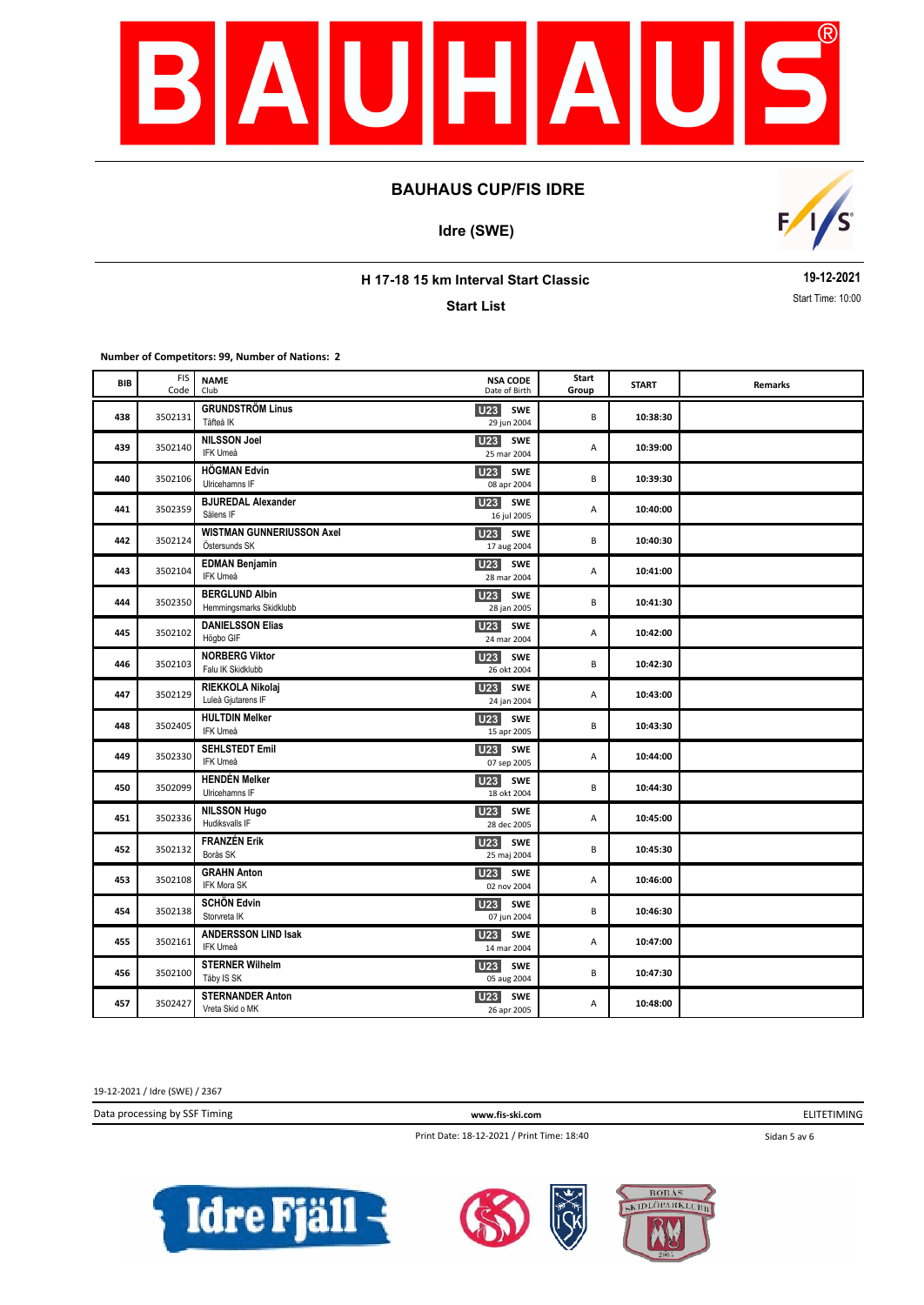

**Idre (SWE)**



**H 17-18 15 km Interval Start Classic**

**Start List**

**19-12-2021** Start Time: 10:00

**Number of Competitors: 99, Number of Nations: 2**

| BIB | <b>FIS</b><br>Code | <b>NAME</b><br>Club                               | <b>NSA CODE</b><br>Date of Birth        | Start<br>Group | <b>START</b> | Remarks |
|-----|--------------------|---------------------------------------------------|-----------------------------------------|----------------|--------------|---------|
| 438 | 3502131            | <b>GRUNDSTRÖM Linus</b><br>Täfteå IK              | <b>U23</b> SWE<br>29 jun 2004           | B              | 10:38:30     |         |
| 439 | 3502140            | <b>NILSSON Joel</b><br>IFK Umeå                   | U23<br><b>SWE</b><br>25 mar 2004        | А              | 10:39:00     |         |
| 440 | 3502106            | <b>HÖGMAN Edvin</b><br>Ulricehamns IF             | U23 SWE<br>08 apr 2004                  | B              | 10:39:30     |         |
| 441 | 3502359            | <b>BJUREDAL Alexander</b><br>Sälens IF            | <b>U23</b><br><b>SWE</b><br>16 jul 2005 | Α              | 10:40:00     |         |
| 442 | 3502124            | <b>WISTMAN GUNNERIUSSON Axel</b><br>Östersunds SK | <b>U23</b><br>SWE<br>17 aug 2004        | B              | 10:40:30     |         |
| 443 | 3502104            | <b>EDMAN Benjamin</b><br>IFK Umeå                 | <b>U23</b><br>SWE<br>28 mar 2004        | Α              | 10:41:00     |         |
| 444 | 3502350            | <b>BERGLUND Albin</b><br>Hemmingsmarks Skidklubb  | <b>U23</b><br><b>SWE</b><br>28 jan 2005 | B              | 10:41:30     |         |
| 445 | 3502102            | <b>DANIELSSON Elias</b><br>Högbo GIF              | U23<br><b>SWE</b><br>24 mar 2004        | Α              | 10:42:00     |         |
| 446 | 3502103            | <b>NORBERG Viktor</b><br>Falu IK Skidklubb        | <b>U23</b><br>SWE<br>26 okt 2004        | B              | 10:42:30     |         |
| 447 | 3502129            | RIEKKOLA Nikolaj<br>Luleå Gjutarens IF            | U23 SWE<br>24 jan 2004                  | Α              | 10:43:00     |         |
| 448 | 3502405            | <b>HULTDIN Melker</b><br>IFK Umeå                 | U23<br>SWE<br>15 apr 2005               | B              | 10:43:30     |         |
| 449 | 3502330            | <b>SEHLSTEDT Emil</b><br>IFK Umeå                 | U23 SWE<br>07 sep 2005                  | А              | 10:44:00     |         |
| 450 | 3502099            | <b>HENDÉN Melker</b><br>Ulricehamns IF            | U23<br>SWE<br>18 okt 2004               | B              | 10:44:30     |         |
| 451 | 3502336            | <b>NILSSON Hugo</b><br>Hudiksvalls IF             | U <sub>23</sub><br>SWE<br>28 dec 2005   | А              | 10:45:00     |         |
| 452 | 3502132            | <b>FRANZÉN Erik</b><br>Borås SK                   | <b>U23</b><br><b>SWE</b><br>25 maj 2004 | B              | 10:45:30     |         |
| 453 | 3502108            | <b>GRAHN Anton</b><br>IFK Mora SK                 | <b>U23</b><br>SWE<br>02 nov 2004        | Α              | 10:46:00     |         |
| 454 | 3502138            | <b>SCHÖN Edvin</b><br>Storvreta IK                | <b>U23</b><br>SWE<br>07 jun 2004        | B              | 10:46:30     |         |
| 455 | 3502161            | <b>ANDERSSON LIND Isak</b><br>IFK Umeå            | U <sub>23</sub><br>SWE<br>14 mar 2004   | Α              | 10:47:00     |         |
| 456 | 3502100            | <b>STERNER Wilhelm</b><br>Täby IS SK              | U23 SWE<br>05 aug 2004                  | B              | 10:47:30     |         |
| 457 | 3502427            | <b>STERNANDER Anton</b><br>Vreta Skid o MK        | U23 SWE<br>26 apr 2005                  | Α              | 10:48:00     |         |

19-12-2021 / Idre (SWE) / 2367

Data processing by SSF Timing **www.fis-ski.com**

ELITETIMING

Print Date: 18-12-2021 / Print Time: 18:40

Sidan 5 av 6